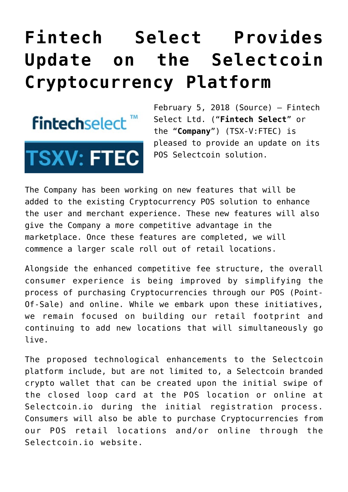## **[Fintech Select Provides](https://investorintel.com/markets/technology/technology-news/fintech-select-provides-update-selectcoin-cryptocurrency-platform/) [Update on the Selectcoin](https://investorintel.com/markets/technology/technology-news/fintech-select-provides-update-selectcoin-cryptocurrency-platform/) [Cryptocurrency Platform](https://investorintel.com/markets/technology/technology-news/fintech-select-provides-update-selectcoin-cryptocurrency-platform/)**



February 5, 2018 [\(Source](https://investorintel.com/iintel-members/fintech-select-ltd/)) — Fintech Select Ltd. ("**Fintech Select**" or the "**Company**") (TSX-V:[FTEC](http://www.globenewswire.com/News/Listing?symbol=FTEC&exchange=15)) is pleased to provide an update on its POS Selectcoin solution.

The Company has been working on new features that will be added to the existing Cryptocurrency POS solution to enhance the user and merchant experience. These new features will also give the Company a more competitive advantage in the marketplace. Once these features are completed, we will commence a larger scale roll out of retail locations.

Alongside the enhanced competitive fee structure, the overall consumer experience is being improved by simplifying the process of purchasing Cryptocurrencies through our POS (Point-Of-Sale) and online. While we embark upon these initiatives, we remain focused on building our retail footprint and continuing to add new locations that will simultaneously go live.

The proposed technological enhancements to the Selectcoin platform include, but are not limited to, a Selectcoin branded crypto wallet that can be created upon the initial swipe of the closed loop card at the POS location or online at Selectcoin.io during the initial registration process. Consumers will also be able to purchase Cryptocurrencies from our POS retail locations and/or online through the Selectcoin.io website.